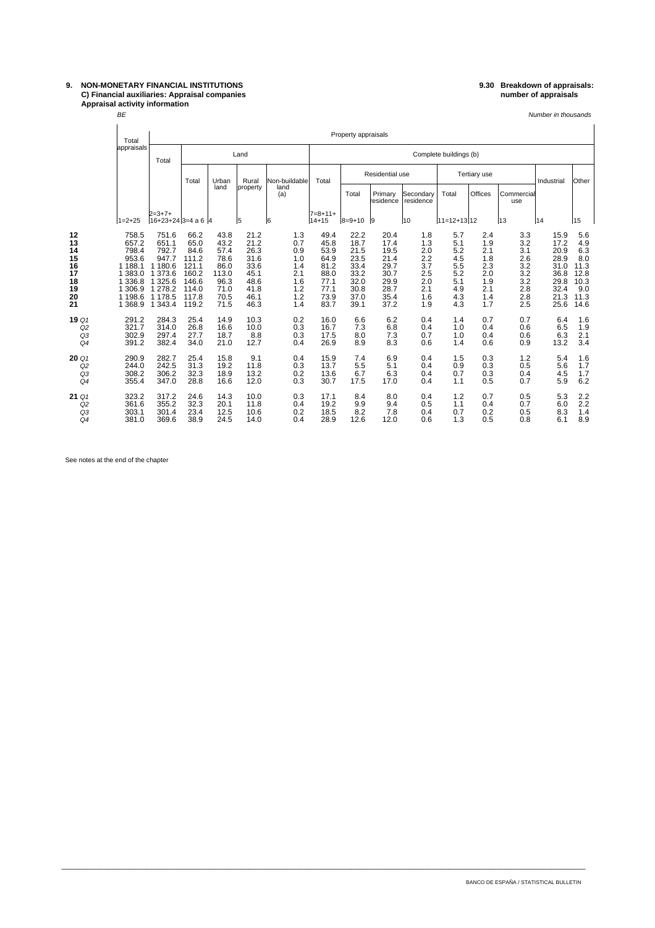## **C) Financial auxiliaries: Appraisal companies number of appraisals Appraisal activity information** BE

# **9. NON-MONETARY FINANCIAL INSTITUTIONS 9.30 Breakdown of appraisals:**

Number in thousands

|                                                          |                                               | Total                                                                                        |                                                                                                          | Property appraisals                                                                 |                                                                               |                                                                              |                                                                    |                                                                              |                                                                              |                                                                              |                                                                    |                                                                    |                                                                    |                                                                    |                                                                              |                                                                         |  |
|----------------------------------------------------------|-----------------------------------------------|----------------------------------------------------------------------------------------------|----------------------------------------------------------------------------------------------------------|-------------------------------------------------------------------------------------|-------------------------------------------------------------------------------|------------------------------------------------------------------------------|--------------------------------------------------------------------|------------------------------------------------------------------------------|------------------------------------------------------------------------------|------------------------------------------------------------------------------|--------------------------------------------------------------------|--------------------------------------------------------------------|--------------------------------------------------------------------|--------------------------------------------------------------------|------------------------------------------------------------------------------|-------------------------------------------------------------------------|--|
|                                                          |                                               | appraisals                                                                                   | Total                                                                                                    | Land                                                                                |                                                                               |                                                                              |                                                                    | Complete buildings (b)                                                       |                                                                              |                                                                              |                                                                    |                                                                    |                                                                    |                                                                    |                                                                              |                                                                         |  |
|                                                          |                                               |                                                                                              |                                                                                                          | Total                                                                               | Urban                                                                         | Rural                                                                        | Non-buildable                                                      | Total                                                                        | Residential use                                                              |                                                                              |                                                                    | <b>Tertiary use</b>                                                |                                                                    |                                                                    | Industrial                                                                   | Other                                                                   |  |
|                                                          |                                               |                                                                                              |                                                                                                          |                                                                                     | land                                                                          | property                                                                     | land<br>(a)                                                        |                                                                              | Total                                                                        | Primary<br>residence                                                         | Secondary<br>residence                                             | Total                                                              | Offices                                                            | Commercial<br>use                                                  |                                                                              |                                                                         |  |
|                                                          |                                               | $1 = 2 + 25$                                                                                 | $2 = 3 + 7 +$<br>$16+23+24$ 3=4 a 6 4                                                                    |                                                                                     |                                                                               | l5                                                                           | 16                                                                 | $7 = 8 + 11 +$<br>$14 + 15$                                                  | $8 = 9 + 10$                                                                 | 9                                                                            | 10                                                                 | $ 11=12+13 12$                                                     |                                                                    | 13                                                                 | 14                                                                           | 15                                                                      |  |
| 12<br>13<br>14<br>15<br>16<br>17<br>18<br>19<br>20<br>21 |                                               | 758.5<br>657.2<br>798.4<br>953.6<br>1 188.1<br>383.0<br>336.8<br>306.9<br>1 198.6<br>1 368.9 | 751.6<br>651.1<br>792.7<br>947.7<br>1 180.6<br>1 373.6<br>1 3 2 5.6<br>1 278.2<br>1 178.5<br>1 3 4 3 . 4 | 66.2<br>65.0<br>84.6<br>111.2<br>121.1<br>160.2<br>146.6<br>114.0<br>117.8<br>119.2 | 43.8<br>43.2<br>57.4<br>78.6<br>86.0<br>113.0<br>96.3<br>71.0<br>70.5<br>71.5 | 21.2<br>21.2<br>26.3<br>31.6<br>33.6<br>45.1<br>48.6<br>41.8<br>46.1<br>46.3 | 1.3<br>0.7<br>0.9<br>1.0<br>1.4<br>2.1<br>1.6<br>1.2<br>1.2<br>1.4 | 49.4<br>45.8<br>53.9<br>64.9<br>81.2<br>88.0<br>77.1<br>77.1<br>73.9<br>83.7 | 22.2<br>18.7<br>21.5<br>23.5<br>33.4<br>33.2<br>32.0<br>30.8<br>37.0<br>39.1 | 20.4<br>17.4<br>19.5<br>21.4<br>29.7<br>30.7<br>29.9<br>28.7<br>35.4<br>37.2 | 1.8<br>1.3<br>2.0<br>2.2<br>3.7<br>2.5<br>2.0<br>2.1<br>1.6<br>1.9 | 5.7<br>5.1<br>5.2<br>4.5<br>5.5<br>5.2<br>5.1<br>4.9<br>4.3<br>4.3 | 2.4<br>1.9<br>2.1<br>1.8<br>2.3<br>2.0<br>1.9<br>2.1<br>1.4<br>1.7 | 3.3<br>3.2<br>3.1<br>2.6<br>3.2<br>3.2<br>3.2<br>2.8<br>2.8<br>2.5 | 15.9<br>17.2<br>20.9<br>28.9<br>31.0<br>36.8<br>29.8<br>32.4<br>21.3<br>25.6 | 5.6<br>4.9<br>6.3<br>8.0<br>11.3<br>12.8<br>10.3<br>9.0<br>11.3<br>14.6 |  |
|                                                          | 19 Q1<br>Q <sub>2</sub><br>Q3<br>Q4           | 291.2<br>321.7<br>302.9<br>391.2                                                             | 284.3<br>314.0<br>297.4<br>382.4                                                                         | 25.4<br>26.8<br>27.7<br>34.0                                                        | 14.9<br>16.6<br>18.7<br>21.0                                                  | 10.3<br>10.0<br>8.8<br>12.7                                                  | 0.2<br>0.3<br>0.3<br>0.4                                           | 16.0<br>16.7<br>17.5<br>26.9                                                 | 6.6<br>7.3<br>8.0<br>8.9                                                     | 6.2<br>6.8<br>7.3<br>8.3                                                     | 0.4<br>0.4<br>0.7<br>0.6                                           | 1.4<br>1.0<br>1.0<br>1.4                                           | 0.7<br>0.4<br>0.4<br>0.6                                           | 0.7<br>0.6<br>0.6<br>0.9                                           | 6.4<br>6.5<br>6.3<br>13.2                                                    | 1.6<br>1.9<br>2.1<br>3.4                                                |  |
|                                                          | 20Q<br>Q <sub>2</sub><br>Q3<br>Q <sub>4</sub> | 290.9<br>244.0<br>308.2<br>355.4                                                             | 282.7<br>242.5<br>306.2<br>347.0                                                                         | 25.4<br>31.3<br>32.3<br>28.8                                                        | 15.8<br>19.2<br>18.9<br>16.6                                                  | 9.1<br>11.8<br>13.2<br>12.0                                                  | 0.4<br>0.3<br>0.2<br>0.3                                           | 15.9<br>13.7<br>13.6<br>30.7                                                 | 7.4<br>5.5<br>6.7<br>17.5                                                    | 6.9<br>5.1<br>6.3<br>17.0                                                    | 0.4<br>0.4<br>0.4<br>0.4                                           | 1.5<br>0.9<br>0.7<br>1.1                                           | 0.3<br>0.3<br>0.3<br>0.5                                           | 1.2<br>0.5<br>0.4<br>0.7                                           | 5.4<br>5.6<br>4.5<br>5.9                                                     | 1.6<br>1.7<br>1.7<br>6.2                                                |  |
|                                                          | 21 Q1<br>Q2<br>Q3<br>Q4                       | 323.2<br>361.6<br>303.1<br>381.0                                                             | 317.2<br>355.2<br>301.4<br>369.6                                                                         | 24.6<br>32.3<br>23.4<br>38.9                                                        | 14.3<br>20.1<br>12.5<br>24.5                                                  | 10.0<br>11.8<br>10.6<br>14.0                                                 | 0.3<br>0.4<br>0.2<br>0.4                                           | 17.1<br>19.2<br>18.5<br>28.9                                                 | 8.4<br>9.9<br>8.2<br>12.6                                                    | 8.0<br>9.4<br>7.8<br>12.0                                                    | 0.4<br>0.5<br>0.4<br>0.6                                           | 1.2<br>1.1<br>0.7<br>1.3                                           | 0.7<br>0.4<br>0.2<br>0.5                                           | 0.5<br>0.7<br>0.5<br>0.8                                           | 5.3<br>6.0<br>8.3<br>6.1                                                     | 2.2<br>2.2<br>1.4<br>8.9                                                |  |

\_\_\_\_\_\_\_\_\_\_\_\_\_\_\_\_\_\_\_\_\_\_\_\_\_\_\_\_\_\_\_\_\_\_\_\_\_\_\_\_\_\_\_\_\_\_\_\_\_\_\_\_\_\_\_\_\_\_\_\_\_\_\_\_\_\_\_\_\_\_\_\_\_\_\_\_\_\_\_\_\_\_\_\_\_\_\_\_\_\_\_\_\_\_\_\_\_\_\_\_\_\_\_\_\_\_\_\_\_\_\_\_\_\_\_\_\_\_\_\_\_\_\_

See notes at the end of the chapter